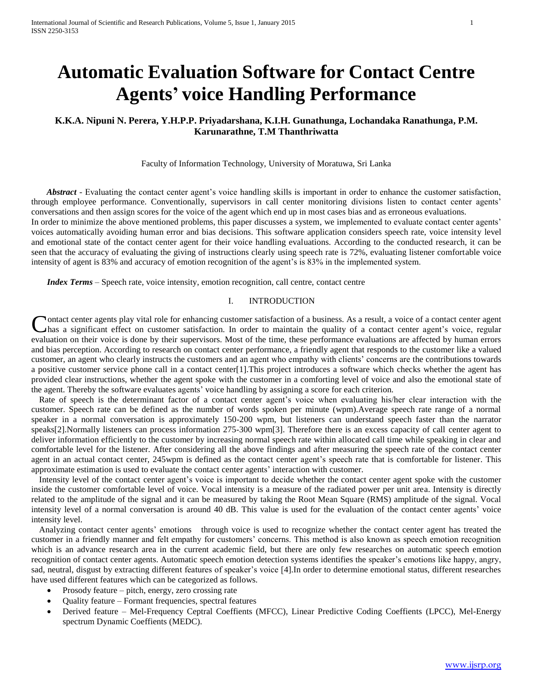# **Automatic Evaluation Software for Contact Centre Agents' voice Handling Performance**

# **K.K.A. Nipuni N. Perera, Y.H.P.P. Priyadarshana, K.I.H. Gunathunga, Lochandaka Ranathunga, P.M. Karunarathne, T.M Thanthriwatta**

Faculty of Information Technology, University of Moratuwa, Sri Lanka

 *Abstract* - Evaluating the contact center agent's voice handling skills is important in order to enhance the customer satisfaction, through employee performance. Conventionally, supervisors in call center monitoring divisions listen to contact center agents' conversations and then assign scores for the voice of the agent which end up in most cases bias and as erroneous evaluations. In order to minimize the above mentioned problems, this paper discusses a system, we implemented to evaluate contact center agents'

voices automatically avoiding human error and bias decisions. This software application considers speech rate, voice intensity level and emotional state of the contact center agent for their voice handling evaluations. According to the conducted research, it can be seen that the accuracy of evaluating the giving of instructions clearly using speech rate is 72%, evaluating listener comfortable voice intensity of agent is 83% and accuracy of emotion recognition of the agent's is 83% in the implemented system.

*Index Terms* – Speech rate, voice intensity, emotion recognition, call centre, contact centre

# I. INTRODUCTION

**Nontact center agents play vital role for enhancing customer satisfaction of a business. As a result, a voice of a contact center agent** Contact center agents play vital role for enhancing customer satisfaction of a business. As a result, a voice of a contact center agent has a significant effect on customer satisfaction. In order to maintain the quality of evaluation on their voice is done by their supervisors. Most of the time, these performance evaluations are affected by human errors and bias perception. According to research on contact center performance, a friendly agent that responds to the customer like a valued customer, an agent who clearly instructs the customers and an agent who empathy with clients' concerns are the contributions towards a positive customer service phone call in a contact center[1].This project introduces a software which checks whether the agent has provided clear instructions, whether the agent spoke with the customer in a comforting level of voice and also the emotional state of the agent. Thereby the software evaluates agents' voice handling by assigning a score for each criterion.

Rate of speech is the determinant factor of a contact center agent's voice when evaluating his/her clear interaction with the customer. Speech rate can be defined as the number of words spoken per minute (wpm).Average speech rate range of a normal speaker in a normal conversation is approximately 150-200 wpm, but listeners can understand speech faster than the narrator speaks[2].Normally listeners can process information 275-300 wpm[3]. Therefore there is an excess capacity of call center agent to deliver information efficiently to the customer by increasing normal speech rate within allocated call time while speaking in clear and comfortable level for the listener. After considering all the above findings and after measuring the speech rate of the contact center agent in an actual contact center, 245wpm is defined as the contact center agent's speech rate that is comfortable for listener. This approximate estimation is used to evaluate the contact center agents' interaction with customer.

Intensity level of the contact center agent's voice is important to decide whether the contact center agent spoke with the customer inside the customer comfortable level of voice. Vocal intensity is a measure of the radiated power per unit area. Intensity is directly related to the amplitude of the signal and it can be measured by taking the Root Mean Square (RMS) amplitude of the signal. Vocal intensity level of a normal conversation is around 40 dB. This value is used for the evaluation of the contact center agents' voice intensity level.

Analyzing contact center agents' emotions through voice is used to recognize whether the contact center agent has treated the customer in a friendly manner and felt empathy for customers' concerns. This method is also known as speech emotion recognition which is an advance research area in the current academic field, but there are only few researches on automatic speech emotion recognition of contact center agents. Automatic speech emotion detection systems identifies the speaker's emotions like happy, angry, sad, neutral, disgust by extracting different features of speaker's voice [4].In order to determine emotional status, different researches have used different features which can be categorized as follows.

- Prosody feature pitch, energy, zero crossing rate
- Quality feature Formant frequencies, spectral features
- Derived feature Mel-Frequency Ceptral Coeffients (MFCC), Linear Predictive Coding Coeffients (LPCC), Mel-Energy spectrum Dynamic Coeffients (MEDC).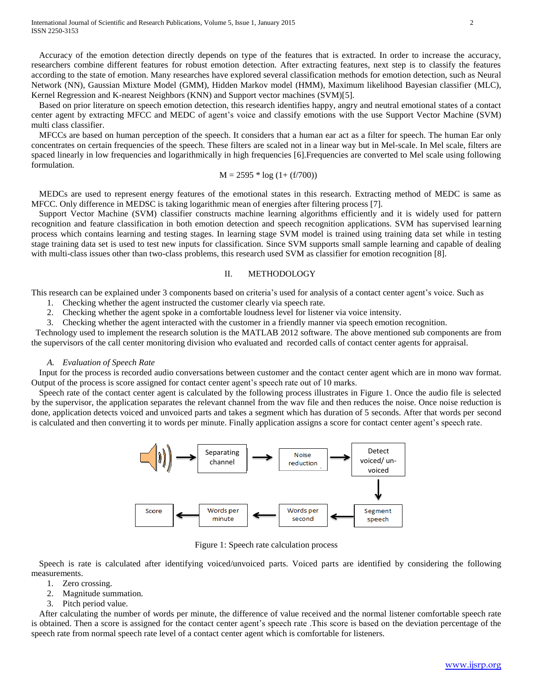Accuracy of the emotion detection directly depends on type of the features that is extracted. In order to increase the accuracy, researchers combine different features for robust emotion detection. After extracting features, next step is to classify the features according to the state of emotion. Many researches have explored several classification methods for emotion detection, such as Neural Network (NN), Gaussian Mixture Model (GMM), Hidden Markov model (HMM), Maximum likelihood Bayesian classifier (MLC), Kernel Regression and K-nearest Neighbors (KNN) and Support vector machines (SVM)[5].

Based on prior literature on speech emotion detection, this research identifies happy, angry and neutral emotional states of a contact center agent by extracting MFCC and MEDC of agent's voice and classify emotions with the use Support Vector Machine (SVM) multi class classifier.

MFCCs are based on human perception of the speech. It considers that a human ear act as a filter for speech. The human Ear only concentrates on certain frequencies of the speech. These filters are scaled not in a linear way but in Mel-scale. In Mel scale, filters are spaced linearly in low frequencies and logarithmically in high frequencies [6].Frequencies are converted to Mel scale using following formulation.

$$
M = 2595 * log (1 + (f/700))
$$

MEDCs are used to represent energy features of the emotional states in this research. Extracting method of MEDC is same as MFCC. Only difference in MEDSC is taking logarithmic mean of energies after filtering process [7].

Support Vector Machine (SVM) classifier constructs machine learning algorithms efficiently and it is widely used for pattern recognition and feature classification in both emotion detection and speech recognition applications. SVM has supervised learning process which contains learning and testing stages. In learning stage SVM model is trained using training data set while in testing stage training data set is used to test new inputs for classification. Since SVM supports small sample learning and capable of dealing with multi-class issues other than two-class problems, this research used SVM as classifier for emotion recognition [8].

## II. METHODOLOGY

This research can be explained under 3 components based on criteria's used for analysis of a contact center agent's voice. Such as

- 1. Checking whether the agent instructed the customer clearly via speech rate.
- 2. Checking whether the agent spoke in a comfortable loudness level for listener via voice intensity.
- 3. Checking whether the agent interacted with the customer in a friendly manner via speech emotion recognition.

 Technology used to implement the research solution is the MATLAB 2012 software. The above mentioned sub components are from the supervisors of the call center monitoring division who evaluated and recorded calls of contact center agents for appraisal.

#### *A. Evaluation of Speech Rate*

Input for the process is recorded audio conversations between customer and the contact center agent which are in mono wav format. Output of the process is score assigned for contact center agent's speech rate out of 10 marks.

Speech rate of the contact center agent is calculated by the following process illustrates in Figure 1. Once the audio file is selected by the supervisor, the application separates the relevant channel from the wav file and then reduces the noise. Once noise reduction is done, application detects voiced and unvoiced parts and takes a segment which has duration of 5 seconds. After that words per second is calculated and then converting it to words per minute. Finally application assigns a score for contact center agent's speech rate.



Figure 1: Speech rate calculation process

Speech is rate is calculated after identifying voiced/unvoiced parts. Voiced parts are identified by considering the following measurements.

- 1. Zero crossing.
- 2. Magnitude summation.
- 3. Pitch period value.

After calculating the number of words per minute, the difference of value received and the normal listener comfortable speech rate is obtained. Then a score is assigned for the contact center agent's speech rate .This score is based on the deviation percentage of the speech rate from normal speech rate level of a contact center agent which is comfortable for listeners.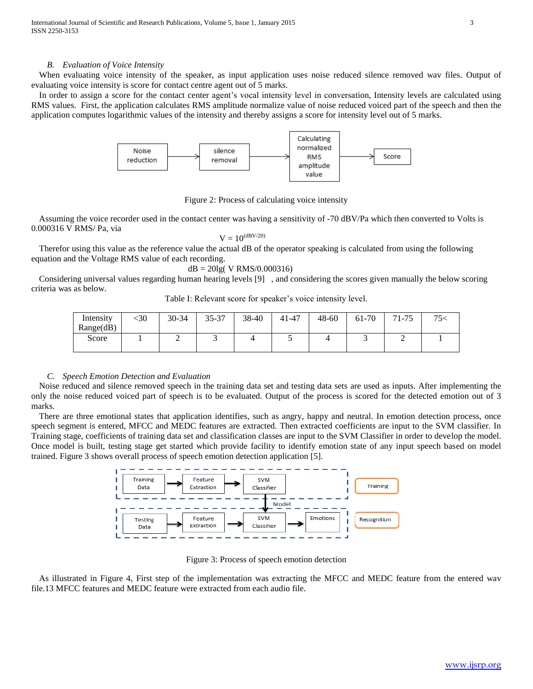#### *B. Evaluation of Voice Intensity*

When evaluating voice intensity of the speaker, as input application uses noise reduced silence removed wav files. Output of evaluating voice intensity is score for contact centre agent out of 5 marks.

In order to assign a score for the contact center agent's vocal intensity level in conversation, Intensity levels are calculated using RMS values. First, the application calculates RMS amplitude normalize value of noise reduced voiced part of the speech and then the application computes logarithmic values of the intensity and thereby assigns a score for intensity level out of 5 marks.



Figure 2: Process of calculating voice intensity

Assuming the voice recorder used in the contact center was having a sensitivity of -70 dBV/Pa which then converted to Volts is 0.000316 V RMS/ Pa, via

$$
V=10^{(dBV/20)}
$$

Therefor using this value as the reference value the actual dB of the operator speaking is calculated from using the following equation and the Voltage RMS value of each recording.

$$
dB = 20lg(V RMS/0.000316)
$$

Considering universal values regarding human hearing levels [9] , and considering the scores given manually the below scoring criteria was as below.

Table I: Relevant score for speaker's voice intensity level.

| Intensity | -30 | 30-34 | 35-37 | 38-40 | 41-47 | $48 - 60$ | 61-70 | 71-75 | 75< |
|-----------|-----|-------|-------|-------|-------|-----------|-------|-------|-----|
| Range(dB) |     |       |       |       |       |           |       |       |     |
| Score     |     | ∸     | ັ     |       | ັ     |           |       | ∽     |     |
|           |     |       |       |       |       |           |       |       |     |

## *C. Speech Emotion Detection and Evaluation*

Noise reduced and silence removed speech in the training data set and testing data sets are used as inputs. After implementing the only the noise reduced voiced part of speech is to be evaluated. Output of the process is scored for the detected emotion out of 3 marks.

There are three emotional states that application identifies, such as angry, happy and neutral. In emotion detection process, once speech segment is entered, MFCC and MEDC features are extracted. Then extracted coefficients are input to the SVM classifier. In Training stage, coefficients of training data set and classification classes are input to the SVM Classifier in order to develop the model. Once model is built, testing stage get started which provide facility to identify emotion state of any input speech based on model trained. Figure 3 shows overall process of speech emotion detection application [5].



Figure 3: Process of speech emotion detection

As illustrated in Figure 4, First step of the implementation was extracting the MFCC and MEDC feature from the entered wav file.13 MFCC features and MEDC feature were extracted from each audio file.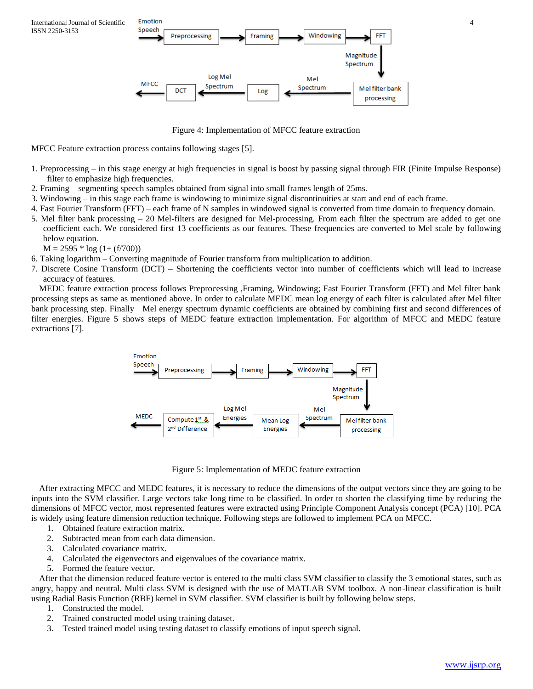

Figure 4: Implementation of MFCC feature extraction

MFCC Feature extraction process contains following stages [5].

- 1. Preprocessing in this stage energy at high frequencies in signal is boost by passing signal through FIR (Finite Impulse Response) filter to emphasize high frequencies.
- 2. Framing segmenting speech samples obtained from signal into small frames length of 25ms.
- 3. Windowing in this stage each frame is windowing to minimize signal discontinuities at start and end of each frame.
- 4. Fast Fourier Transform (FFT) each frame of N samples in windowed signal is converted from time domain to frequency domain.
- 5. Mel filter bank processing 20 Mel-filters are designed for Mel-processing. From each filter the spectrum are added to get one coefficient each. We considered first 13 coefficients as our features. These frequencies are converted to Mel scale by following below equation.

 $M = 2595 * log (1 + (f/700))$ 

- 6. Taking logarithm Converting magnitude of Fourier transform from multiplication to addition.
- 7. Discrete Cosine Transform (DCT) Shortening the coefficients vector into number of coefficients which will lead to increase accuracy of features.

MEDC feature extraction process follows Preprocessing ,Framing, Windowing; Fast Fourier Transform (FFT) and Mel filter bank processing steps as same as mentioned above. In order to calculate MEDC mean log energy of each filter is calculated after Mel filter bank processing step. Finally Mel energy spectrum dynamic coefficients are obtained by combining first and second differences of filter energies. Figure 5 shows steps of MEDC feature extraction implementation. For algorithm of MFCC and MEDC feature extractions [7].



Figure 5: Implementation of MEDC feature extraction

After extracting MFCC and MEDC features, it is necessary to reduce the dimensions of the output vectors since they are going to be inputs into the SVM classifier. Large vectors take long time to be classified. In order to shorten the classifying time by reducing the dimensions of MFCC vector, most represented features were extracted using Principle Component Analysis concept (PCA) [10]. PCA is widely using feature dimension reduction technique. Following steps are followed to implement PCA on MFCC.

- 1. Obtained feature extraction matrix.
- 2. Subtracted mean from each data dimension.
- 3. Calculated covariance matrix.
- 4. Calculated the eigenvectors and eigenvalues of the covariance matrix.
- 5. Formed the feature vector.

After that the dimension reduced feature vector is entered to the multi class SVM classifier to classify the 3 emotional states, such as angry, happy and neutral. Multi class SVM is designed with the use of MATLAB SVM toolbox. A non-linear classification is built using Radial Basis Function (RBF) kernel in SVM classifier. SVM classifier is built by following below steps.

- 1. Constructed the model.
- 2. Trained constructed model using training dataset.
- 3. Tested trained model using testing dataset to classify emotions of input speech signal.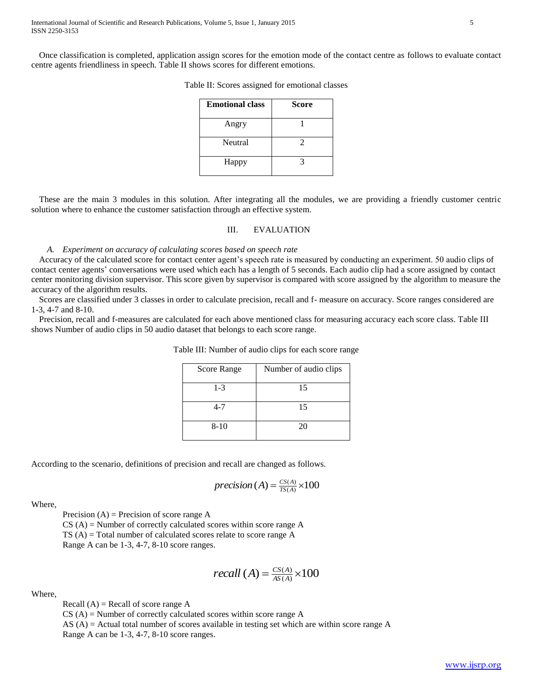Once classification is completed, application assign scores for the emotion mode of the contact centre as follows to evaluate contact centre agents friendliness in speech. Table II shows scores for different emotions.

| <b>Emotional class</b> | <b>Score</b> |
|------------------------|--------------|
| Angry                  |              |
| Neutral                | 2            |
| Happy                  |              |

Table II: Scores assigned for emotional classes

These are the main 3 modules in this solution. After integrating all the modules, we are providing a friendly customer centric solution where to enhance the customer satisfaction through an effective system.

## III. EVALUATION

#### *A. Experiment on accuracy of calculating scores based on speech rate*

Accuracy of the calculated score for contact center agent's speech rate is measured by conducting an experiment. 50 audio clips of contact center agents' conversations were used which each has a length of 5 seconds. Each audio clip had a score assigned by contact center monitoring division supervisor. This score given by supervisor is compared with score assigned by the algorithm to measure the accuracy of the algorithm results.

Scores are classified under 3 classes in order to calculate precision, recall and f- measure on accuracy. Score ranges considered are 1-3, 4-7 and 8-10.

Precision, recall and f-measures are calculated for each above mentioned class for measuring accuracy each score class. Table III shows Number of audio clips in 50 audio dataset that belongs to each score range.

| Score Range | Number of audio clips |
|-------------|-----------------------|
| $1 - 3$     | 15                    |
| $4 - 7$     | 15                    |
| $8 - 10$    | 20                    |

Table III: Number of audio clips for each score range

According to the scenario, definitions of precision and recall are changed as follows.

$$
precision(A) = \frac{CS(A)}{TS(A)} \times 100
$$

Where,

Precision  $(A)$  = Precision of score range A

 $CS (A)$  = Number of correctly calculated scores within score range A  $TS(A) = Total number of calculated scores relate to score range A$ Range A can be 1-3, 4-7, 8-10 score ranges.

$$
recall (A) = \frac{CS(A)}{AS(A)} \times 100
$$

Where,

Recall  $(A)$  = Recall of score range  $A$ 

 $CS(A)$  = Number of correctly calculated scores within score range A

AS (A) = Actual total number of scores available in testing set which are within score range A Range A can be 1-3, 4-7, 8-10 score ranges.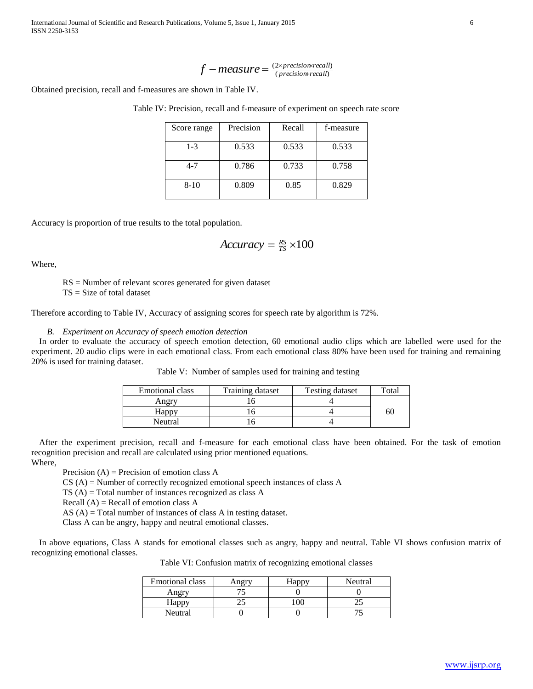International Journal of Scientific and Research Publications, Volume 5, Issue 1, January 2015 6 ISSN 2250-3153

$$
f-measure = \frac{(2 \times precision \times recall)}{(precision \times recall)}
$$

Obtained precision, recall and f-measures are shown in Table IV.

Table IV: Precision, recall and f-measure of experiment on speech rate score

|                                                                | $\text{measure} = \text{precision} + \text{recall}$                                                                                                                         |        |                                                                      |       |                                                                                                                                                                                            |
|----------------------------------------------------------------|-----------------------------------------------------------------------------------------------------------------------------------------------------------------------------|--------|----------------------------------------------------------------------|-------|--------------------------------------------------------------------------------------------------------------------------------------------------------------------------------------------|
| ares are shown in Table IV.                                    |                                                                                                                                                                             |        |                                                                      |       |                                                                                                                                                                                            |
|                                                                |                                                                                                                                                                             |        | : Precision, recall and f-measure of experiment on speech rate score |       |                                                                                                                                                                                            |
| Score range                                                    | Precision                                                                                                                                                                   | Recall | f-measure                                                            |       |                                                                                                                                                                                            |
| $1-3$                                                          | 0.533                                                                                                                                                                       | 0.533  | 0.533                                                                |       |                                                                                                                                                                                            |
| $4 - 7$                                                        | 0.786                                                                                                                                                                       | 0.733  | 0.758                                                                |       |                                                                                                                                                                                            |
| $8-10$                                                         | 0.809                                                                                                                                                                       | 0.85   | 0.829                                                                |       |                                                                                                                                                                                            |
| to the total population.                                       | $Accuracy = \frac{RS}{TS} \times 100$<br>ores generated for given dataset                                                                                                   |        |                                                                      |       |                                                                                                                                                                                            |
| peech emotion detection                                        | able V: Number of samples used for training and testing                                                                                                                     |        | uracy of assigning scores for speech rate by algorithm is 72%.       |       | of speech emotion detection, 60 emotional audio clips which are labelled were used for the<br>ich emotional class. From each emotional class 80% have been used for training and remaining |
| nal class                                                      | Training dataset                                                                                                                                                            |        | <b>Testing dataset</b>                                               | Total |                                                                                                                                                                                            |
| <u>ngry</u>                                                    | 16                                                                                                                                                                          |        | 4                                                                    |       |                                                                                                                                                                                            |
|                                                                | 16                                                                                                                                                                          |        | 4                                                                    | 60    |                                                                                                                                                                                            |
| <u>ірру</u><br>utral                                           | 16                                                                                                                                                                          |        | 4                                                                    |       |                                                                                                                                                                                            |
| emotion class A<br>stances recognized as class A<br>on class A | lculated using prior mentioned equations.<br>y recognized emotional speech instances of class A<br>stances of class A in testing dataset.<br>and neutral emotional classes. |        |                                                                      |       | ecall and f-measure for each emotional class have been obtained. For the task of emotion<br>is for emotional classes such as angry, happy and neutral. Table VI shows confusion matrix of  |
|                                                                |                                                                                                                                                                             |        | Table VI: Confusion matrix of recognizing emotional classes          |       |                                                                                                                                                                                            |
| otional class                                                  | Angry                                                                                                                                                                       | Happy  | Neutral                                                              |       |                                                                                                                                                                                            |
| Angry                                                          | 75                                                                                                                                                                          | 0      | $\theta$                                                             |       |                                                                                                                                                                                            |
| Happy                                                          | 25                                                                                                                                                                          | 100    | 25                                                                   |       |                                                                                                                                                                                            |
| Neutral                                                        | $\theta$                                                                                                                                                                    | 0      | 75                                                                   |       |                                                                                                                                                                                            |
|                                                                |                                                                                                                                                                             |        |                                                                      |       | www.ijsrp.org                                                                                                                                                                              |

Accuracy is proportion of true results to the total population.

$$
Accuracy = \frac{RS}{TS} \times 100
$$

Where,

RS = Number of relevant scores generated for given dataset

TS = Size of total dataset

Therefore according to Table IV, Accuracy of assigning scores for speech rate by algorithm is 72%.

#### *B. Experiment on Accuracy of speech emotion detection*

In order to evaluate the accuracy of speech emotion detection, 60 emotional audio clips which are labelled were used for the experiment. 20 audio clips were in each emotional class. From each emotional class 80% have been used for training and remaining 20% is used for training dataset.

| Table V: Number of samples used for training and testing |  |
|----------------------------------------------------------|--|
|----------------------------------------------------------|--|

| Emotional class | Training dataset | <b>Testing dataset</b> | Total |
|-----------------|------------------|------------------------|-------|
| Angry           |                  |                        |       |
| Happy           |                  |                        | 60    |
| Neutral         |                  |                        |       |

After the experiment precision, recall and f-measure for each emotional class have been obtained. For the task of emotion recognition precision and recall are calculated using prior mentioned equations. Where,

Precision  $(A)$  = Precision of emotion class A

CS (A) = Number of correctly recognized emotional speech instances of class A

TS (A) = Total number of instances recognized as class A

Recall  $(A)$  = Recall of emotion class A

AS (A) = Total number of instances of class A in testing dataset.

Class A can be angry, happy and neutral emotional classes.

In above equations, Class A stands for emotional classes such as angry, happy and neutral. Table VI shows confusion matrix of recognizing emotional classes.

Table VI: Confusion matrix of recognizing emotional classes

| <b>Emotional class</b> | .1appv | Neutral |
|------------------------|--------|---------|
| Angry                  |        |         |
| Happy                  |        |         |
| Neutral                |        |         |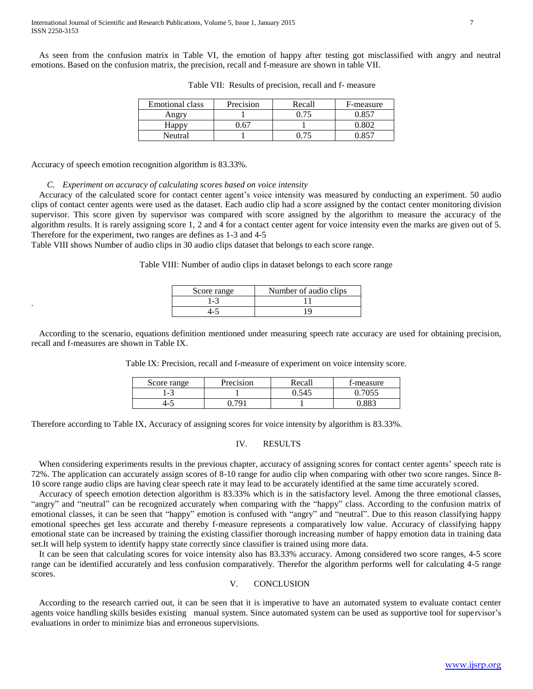As seen from the confusion matrix in Table VI, the emotion of happy after testing got misclassified with angry and neutral emotions. Based on the confusion matrix, the precision, recall and f-measure are shown in table VII.

| <b>Emotional class</b> | Precision | Recall | F-measure |
|------------------------|-----------|--------|-----------|
| Angry                  |           | በ 75   | በ 857     |
| Happy                  | 67        |        |           |
| Neutral                |           | 75     |           |

Table VII: Results of precision, recall and f- measure

Accuracy of speech emotion recognition algorithm is 83.33%.

.

*C. Experiment on accuracy of calculating scores based on voice intensity*

Accuracy of the calculated score for contact center agent's voice intensity was measured by conducting an experiment. 50 audio clips of contact center agents were used as the dataset. Each audio clip had a score assigned by the contact center monitoring division supervisor. This score given by supervisor was compared with score assigned by the algorithm to measure the accuracy of the algorithm results. It is rarely assigning score 1, 2 and 4 for a contact center agent for voice intensity even the marks are given out of 5. Therefore for the experiment, two ranges are defines as 1-3 and 4-5

Table VIII shows Number of audio clips in 30 audio clips dataset that belongs to each score range.

Table VIII: Number of audio clips in dataset belongs to each score range

| Score range | Number of audio clips |  |  |
|-------------|-----------------------|--|--|
| 1-3         |                       |  |  |
|             | ıο                    |  |  |

According to the scenario, equations definition mentioned under measuring speech rate accuracy are used for obtaining precision, recall and f-measures are shown in Table IX.

Table IX: Precision, recall and f-measure of experiment on voice intensity score.

| Score range | Precision | Recall | t-measure |
|-------------|-----------|--------|-----------|
| - ث− `      |           | ).545  |           |
| 4-J         |           |        | oor n     |

Therefore according to Table IX, Accuracy of assigning scores for voice intensity by algorithm is 83.33%.

# IV. RESULTS

When considering experiments results in the previous chapter, accuracy of assigning scores for contact center agents' speech rate is 72%. The application can accurately assign scores of 8-10 range for audio clip when comparing with other two score ranges. Since 8- 10 score range audio clips are having clear speech rate it may lead to be accurately identified at the same time accurately scored.

Accuracy of speech emotion detection algorithm is 83.33% which is in the satisfactory level. Among the three emotional classes, "angry" and "neutral" can be recognized accurately when comparing with the "happy" class. According to the confusion matrix of emotional classes, it can be seen that "happy" emotion is confused with "angry" and "neutral". Due to this reason classifying happy emotional speeches get less accurate and thereby f-measure represents a comparatively low value. Accuracy of classifying happy emotional state can be increased by training the existing classifier thorough increasing number of happy emotion data in training data set.It will help system to identify happy state correctly since classifier is trained using more data.

It can be seen that calculating scores for voice intensity also has 83.33% accuracy. Among considered two score ranges, 4-5 score range can be identified accurately and less confusion comparatively. Therefor the algorithm performs well for calculating 4-5 range scores.

## V. CONCLUSION

According to the research carried out, it can be seen that it is imperative to have an automated system to evaluate contact center agents voice handling skills besides existing manual system. Since automated system can be used as supportive tool for supervisor's evaluations in order to minimize bias and erroneous supervisions.